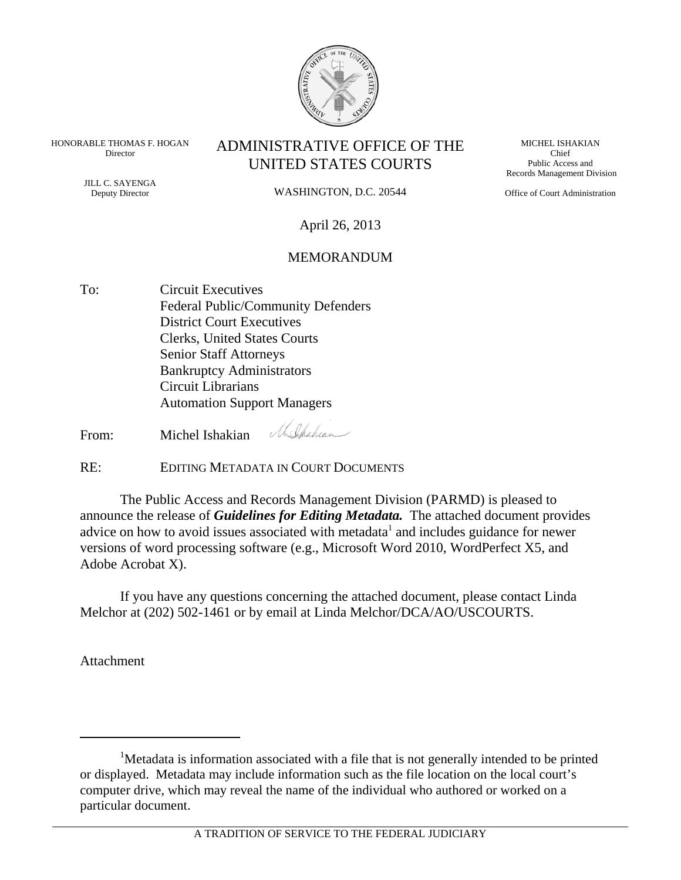

HONORABLE THOMAS F. HOGAN Director

> JILL C. SAYENGA Deputy Director

# ADMINISTRATIVE OFFICE OF THE UNITED STATES COURTS

WASHINGTON, D.C. 20544

MICHEL ISHAKIAN Chief Public Access and Records Management Division

Office of Court Administration

# April 26, 2013

# MEMORANDUM

To: Circuit Executives Federal Public/Community Defenders District Court Executives Clerks, United States Courts Senior Staff Attorneys Bankruptcy Administrators Circuit Librarians Automation Support Managers

Ab Chapian From: Michel Ishakian

RE: EDITING METADATA IN COURT DOCUMENTS

The Public Access and Records Management Division (PARMD) is pleased to announce the release of *Guidelines for Editing Metadata.* The attached document provides advice on how to avoid issues associated with metadata<sup>1</sup> and includes guidance for newer versions of word processing software (e.g., Microsoft Word 2010, WordPerfect X5, and Adobe Acrobat X).

If you have any questions concerning the attached document, please contact Linda Melchor at (202) 502-1461 or by email at Linda Melchor/DCA/AO/USCOURTS.

Attachment

<sup>&</sup>lt;sup>1</sup>Metadata is information associated with a file that is not generally intended to be printed or displayed. Metadata may include information such as the file location on the local court's computer drive, which may reveal the name of the individual who authored or worked on a particular document.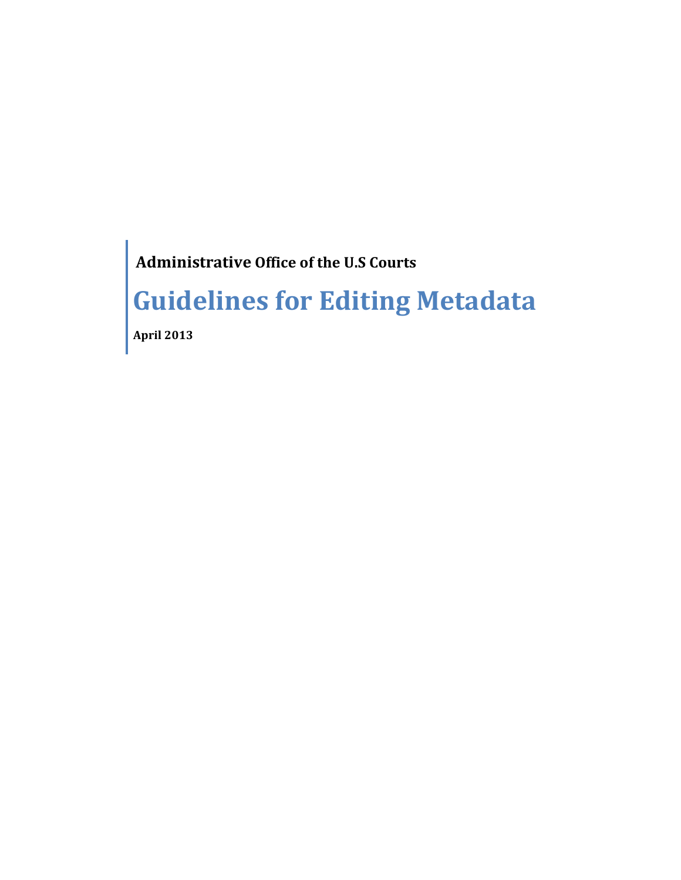**Administrative Office of the U.S Courts**

# **Guidelines for Editing Metadata**

**April 2013**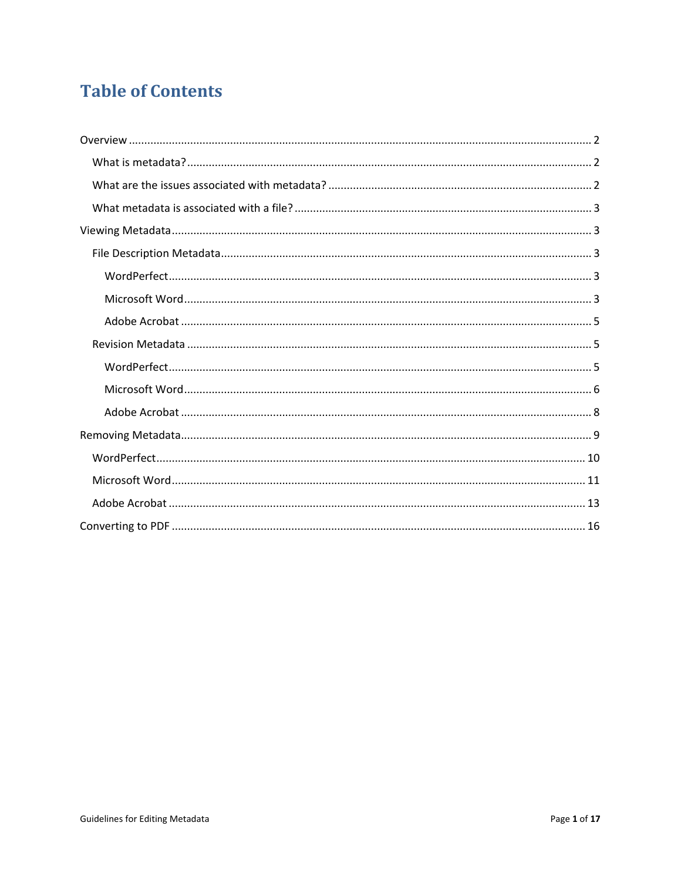# **Table of Contents**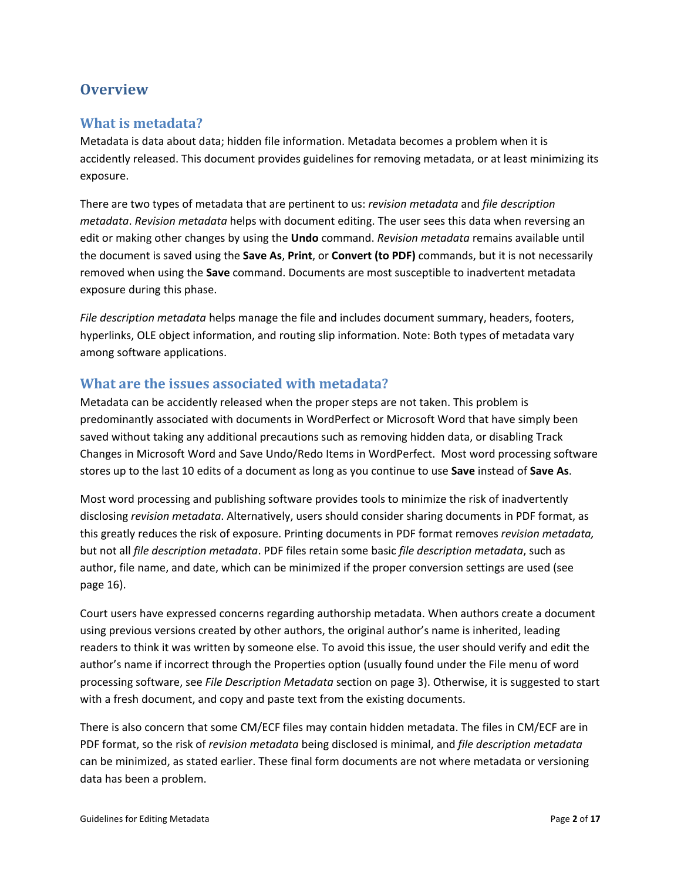# <span id="page-3-0"></span>**Overview**

# <span id="page-3-1"></span>**What is metadata?**

Metadata is data about data; hidden file information. Metadata becomes a problem when it is accidently released. This document provides guidelines for removing metadata, or at least minimizing its exposure.

There are two types of metadata that are pertinent to us: *revision metadata* and *file description metadata*. *Revision metadata* helps with document editing. The user sees this data when reversing an edit or making other changes by using the **Undo** command. *Revision metadata* remains available until the document is saved using the **Save As**, **Print**, or **Convert (to PDF)** commands, but it is not necessarily removed when using the **Save** command. Documents are most susceptible to inadvertent metadata exposure during this phase.

*File description metadata* helps manage the file and includes document summary, headers, footers, hyperlinks, OLE object information, and routing slip information. Note: Both types of metadata vary among software applications.

### <span id="page-3-2"></span>**What are the issues associated with metadata?**

Metadata can be accidently released when the proper steps are not taken. This problem is predominantly associated with documents in WordPerfect or Microsoft Word that have simply been saved without taking any additional precautions such as removing hidden data, or disabling Track Changes in Microsoft Word and Save Undo/Redo Items in WordPerfect. Most word processing software stores up to the last 10 edits of a document as long as you continue to use **Save** instead of **Save As**.

Most word processing and publishing software provides tools to minimize the risk of inadvertently disclosing *revision metadata*. Alternatively, users should consider sharing documents in PDF format, as this greatly reduces the risk of exposure. Printing documents in PDF format removes *revision metadata,* but not all *file description metadata*. PDF files retain some basic *file description metadata*, such as author, file name, and date, which can be minimized if the proper conversion settings are used (see page 16).

Court users have expressed concerns regarding authorship metadata. When authors create a document using previous versions created by other authors, the original author's name is inherited, leading readers to think it was written by someone else. To avoid this issue, the user should verify and edit the author's name if incorrect through the Properties option (usually found under the File menu of word processing software, see *File Description Metadata* section on page 3). Otherwise, it is suggested to start with a fresh document, and copy and paste text from the existing documents.

There is also concern that some CM/ECF files may contain hidden metadata. The files in CM/ECF are in PDF format, so the risk of *revision metadata* being disclosed is minimal, and *file description metadata* can be minimized, as stated earlier. These final form documents are not where metadata or versioning data has been a problem.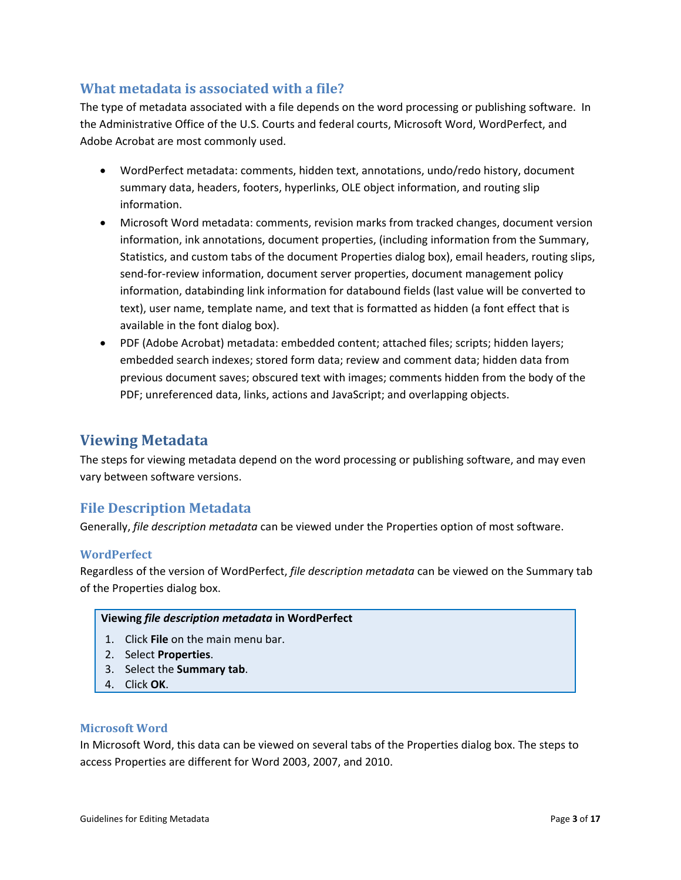# <span id="page-4-0"></span>**What metadata is associated with a file?**

The type of metadata associated with a file depends on the word processing or publishing software. In the Administrative Office of the U.S. Courts and federal courts, Microsoft Word, WordPerfect, and Adobe Acrobat are most commonly used.

- WordPerfect metadata: comments, hidden text, annotations, undo/redo history, document summary data, headers, footers, hyperlinks, OLE object information, and routing slip information.
- Microsoft Word metadata: comments, revision marks from tracked changes, document version information, ink annotations, document properties, (including information from the Summary, Statistics, and custom tabs of the document Properties dialog box), email headers, routing slips, send-for-review information, document server properties, document management policy information, databinding link information for databound fields (last value will be converted to text), user name, template name, and text that is formatted as hidden (a font effect that is available in the font dialog box).
- PDF (Adobe Acrobat) metadata: embedded content; attached files; scripts; hidden layers; embedded search indexes; stored form data; review and comment data; hidden data from previous document saves; obscured text with images; comments hidden from the body of the PDF; unreferenced data, links, actions and JavaScript; and overlapping objects.

# <span id="page-4-1"></span>**Viewing Metadata**

The steps for viewing metadata depend on the word processing or publishing software, and may even vary between software versions.

# <span id="page-4-2"></span>**File Description Metadata**

Generally, *file description metadata* can be viewed under the Properties option of most software.

#### <span id="page-4-3"></span>**WordPerfect**

Regardless of the version of WordPerfect, *file description metadata* can be viewed on the Summary tab of the Properties dialog box.

#### **Viewing** *file description metadata* **in WordPerfect**

- 1. Click **File** on the main menu bar.
- 2. Select **Properties**.
- 3. Select the **Summary tab**.
- 4. Click **OK**.

#### <span id="page-4-4"></span>**Microsoft Word**

In Microsoft Word, this data can be viewed on several tabs of the Properties dialog box. The steps to access Properties are different for Word 2003, 2007, and 2010.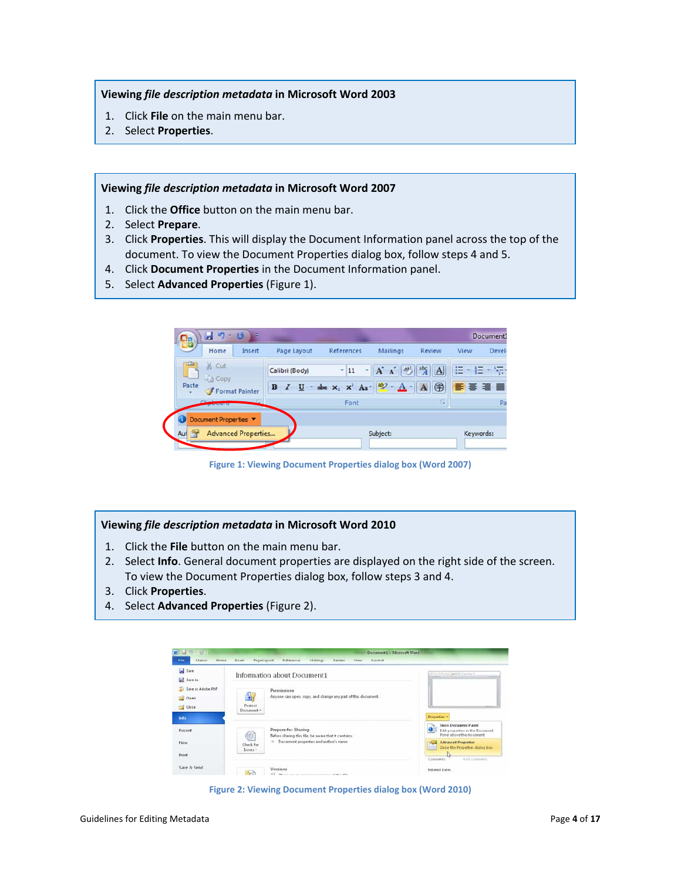#### **Viewing** *file description metadata* **in Microsoft Word 2003**

- 1. Click **File** on the main menu bar.
- 2. Select **Properties**.

#### **Viewing** *file description metadata* **in Microsoft Word 2007**

- 1. Click the **Office** button on the main menu bar.
- 2. Select **Prepare**.
- 3. Click **Properties**. This will display the Document Information panel across the top of the document. To view the Document Properties dialog box, follow steps 4 and 5.
- 4. Click **Document Properties** in the Document Information panel.
- 5. Select **Advanced Properties** (Figure 1).



**Figure 1: Viewing Document Properties dialog box (Word 2007)**

#### **Viewing** *file description metadata* **in Microsoft Word 2010**

- 1. Click the **File** button on the main menu bar.
- 2. Select **Info**. General document properties are displayed on the right side of the screen. To view the Document Properties dialog box, follow steps 3 and 4.
- 3. Click **Properties**.
- 4. Select **Advanced Properties** (Figure 2).



**Figure 2: Viewing Document Properties dialog box (Word 2010)**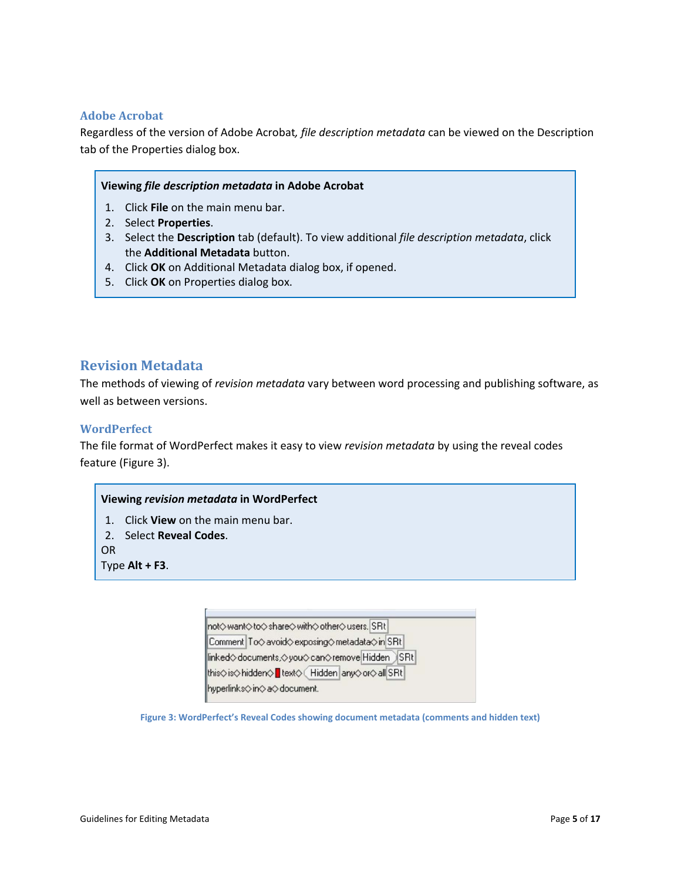#### <span id="page-6-0"></span>**Adobe Acrobat**

Regardless of the version of Adobe Acrobat*, file description metadata* can be viewed on the Description tab of the Properties dialog box.

#### **Viewing** *file description metadata* **in Adobe Acrobat**

- 1. Click **File** on the main menu bar.
- 2. Select **Properties**.
- 3. Select the **Description** tab (default). To view additional *file description metadata*, click the **Additional Metadata** button.
- 4. Click **OK** on Additional Metadata dialog box, if opened.
- 5. Click **OK** on Properties dialog box.

#### <span id="page-6-1"></span>**Revision Metadata**

The methods of viewing of *revision metadata* vary between word processing and publishing software, as well as between versions.

#### <span id="page-6-2"></span>**WordPerfect**

The file format of WordPerfect makes it easy to view *revision metadata* by using the reveal codes feature (Figure 3).

#### **Viewing** *revision metadata* **in WordPerfect**

- 1. Click **View** on the main menu bar.
- 2. Select **Reveal Codes**.

OR

Type **Alt + F3**.

not◇want◇to◇share◇with◇other◇users. SRt Comment To◇ avoid◇ exposing◇ metadata◇ in SRt linked◇documents,◇you◇can◇removeHidden SRt this◇is◇hidden◇■text◇ Hidden any◇or◇all SRt hyperlinks $\diamond$ in $\diamond$ a $\diamond$  document.

**Figure 3: WordPerfect's Reveal Codes showing document metadata (comments and hidden text)**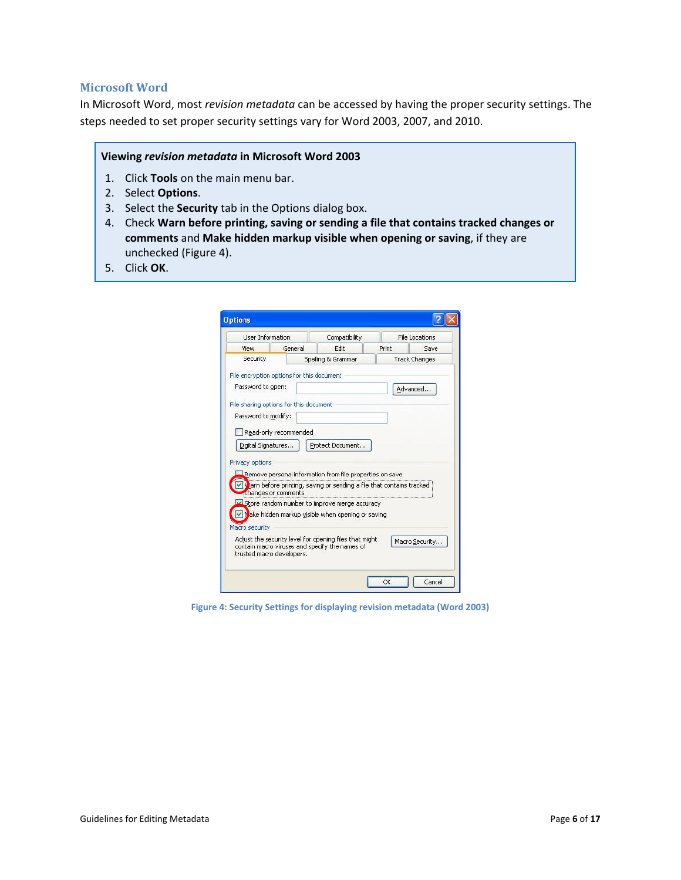#### <span id="page-7-0"></span>**Microsoft Word**

In Microsoft Word, most *revision metadata* can be accessed by having the proper security settings. The steps needed to set proper security settings vary for Word 2003, 2007, and 2010.

#### **Viewing** *revision metadata* **in Microsoft Word 2003**

- 1. Click **Tools** on the main menu bar.
- 2. Select **Options**.
- 3. Select the **Security** tab in the Options dialog box.
- 4. Check **Warn before printing, saving or sending a file that contains tracked changes or comments** and **Make hidden markup visible when opening or saving**, if they are unchecked (Figure 4).
- 5. Click **OK**.

|                           | <b>Liser Information</b>                  | Compatibility                                                       |              | <b>File Locations</b> |
|---------------------------|-------------------------------------------|---------------------------------------------------------------------|--------------|-----------------------|
| View                      | General                                   | Edit                                                                | <b>Print</b> | Save                  |
| Security                  |                                           | Spelling & Grammar                                                  |              | <b>Track Changes</b>  |
|                           | File encryption options for this document |                                                                     |              |                       |
| Password to open:         |                                           |                                                                     |              |                       |
|                           |                                           |                                                                     |              | Advanced              |
|                           | File sharing options for this document    |                                                                     |              |                       |
| Password to modify:       |                                           |                                                                     |              |                       |
|                           |                                           |                                                                     |              |                       |
|                           |                                           |                                                                     |              |                       |
|                           | Read-only recommended                     |                                                                     |              |                       |
| Digital Signatures        |                                           | Protect Document                                                    |              |                       |
|                           |                                           |                                                                     |              |                       |
| Privacy options           |                                           |                                                                     |              |                       |
|                           |                                           | Remove personal information from file properties on save            |              |                       |
|                           |                                           | arn before printing, saving or sending a file that contains tracked |              |                       |
|                           | Changes or comments                       |                                                                     |              |                       |
|                           |                                           | Store random number to improve merge accuracy                       |              |                       |
|                           |                                           | √ Nake hidden markup visible when opening or saving                 |              |                       |
| Macro security            |                                           |                                                                     |              |                       |
|                           |                                           | Adjust the security level for opening files that might              |              | Macro Security        |
| trusted macro developers. |                                           | contain macro viruses and specify the names of                      |              |                       |

**Figure 4: Security Settings for displaying revision metadata (Word 2003)**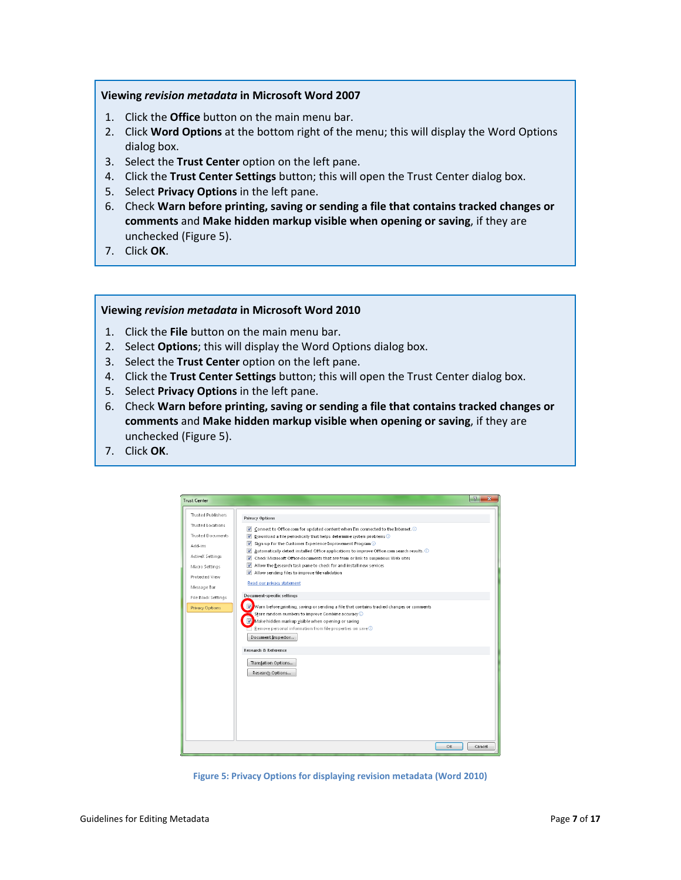#### **Viewing** *revision metadata* **in Microsoft Word 2007**

- 1. Click the **Office** button on the main menu bar.
- 2. Click **Word Options** at the bottom right of the menu; this will display the Word Options dialog box.
- 3. Select the **Trust Center** option on the left pane.
- 4. Click the **Trust Center Settings** button; this will open the Trust Center dialog box.
- 5. Select **Privacy Options** in the left pane.
- 6. Check **Warn before printing, saving or sending a file that contains tracked changes or comments** and **Make hidden markup visible when opening or saving**, if they are unchecked (Figure 5).
- 7. Click **OK**.

#### **Viewing** *revision metadata* **in Microsoft Word 2010**

- 1. Click the **File** button on the main menu bar.
- 2. Select **Options**; this will display the Word Options dialog box.
- 3. Select the **Trust Center** option on the left pane.
- 4. Click the **Trust Center Settings** button; this will open the Trust Center dialog box.
- 5. Select **Privacy Options** in the left pane.
- 6. Check **Warn before printing, saving or sending a file that contains tracked changes or comments** and **Make hidden markup visible when opening or saving**, if they are unchecked (Figure 5).
- 7. Click **OK**.



**Figure 5: Privacy Options for displaying revision metadata (Word 2010)**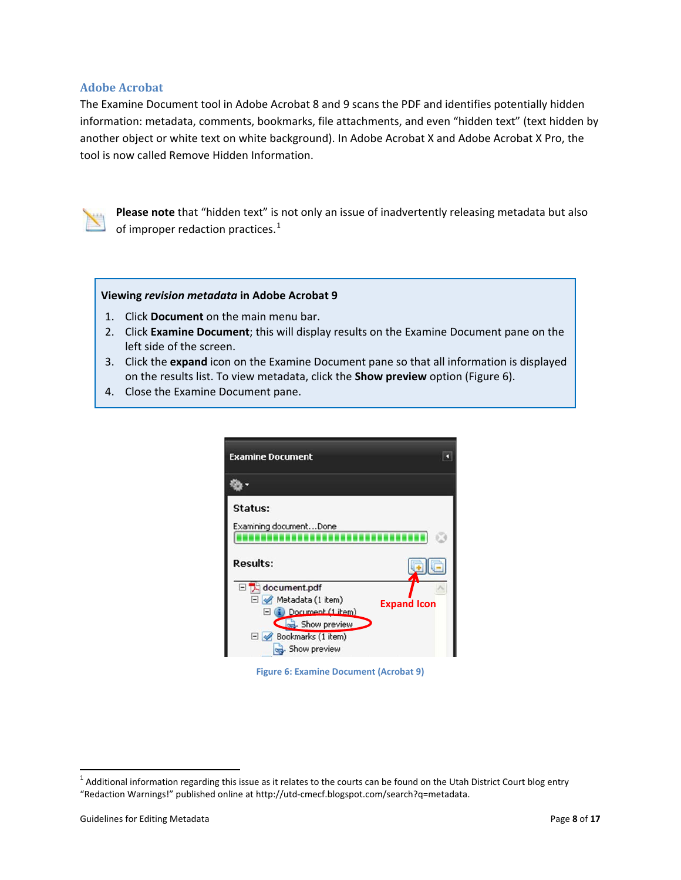#### <span id="page-9-0"></span>**Adobe Acrobat**

The Examine Document tool in Adobe Acrobat 8 and 9 scans the PDF and identifies potentially hidden information: metadata, comments, bookmarks, file attachments, and even "hidden text" (text hidden by another object or white text on white background). In Adobe Acrobat X and Adobe Acrobat X Pro, the tool is now called Remove Hidden Information.



**Please note** that "hidden text" is not only an issue of inadvertently releasing metadata but also of improper redaction practices. $1$ 

#### **Viewing** *revision metadata* **in Adobe Acrobat 9**

- 1. Click **Document** on the main menu bar.
- 2. Click **Examine Document**; this will display results on the Examine Document pane on the left side of the screen.
- 3. Click the **expand** icon on the Examine Document pane so that all information is displayed on the results list. To view metadata, click the **Show preview** option (Figure 6).
- 4. Close the Examine Document pane.



**Figure 6: Examine Document (Acrobat 9)**

<span id="page-9-1"></span> $1$  Additional information regarding this issue as it relates to the courts can be found on the Utah District Court blog entry "Redaction Warnings!" published online at http://utd-cmecf.blogspot.com/search?q=metadata.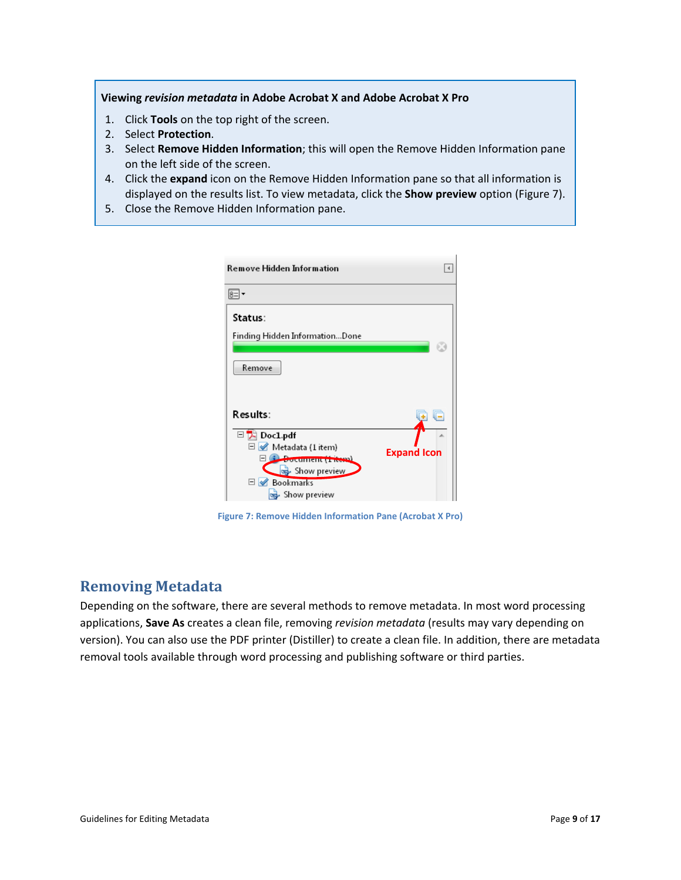#### **Viewing** *revision metadata* **in Adobe Acrobat X and Adobe Acrobat X Pro**

- 1. Click **Tools** on the top right of the screen.
- 2. Select **Protection**.
- 3. Select **Remove Hidden Information**; this will open the Remove Hidden Information pane on the left side of the screen.
- 4. Click the **expand** icon on the Remove Hidden Information pane so that all information is displayed on the results list. To view metadata, click the **Show preview** option (Figure 7).
- 5. Close the Remove Hidden Information pane.

| <b>Remove Hidden Information</b>                                                                   |                    |
|----------------------------------------------------------------------------------------------------|--------------------|
|                                                                                                    |                    |
| Status:<br>Finding Hidden InformationDone                                                          |                    |
| Remove                                                                                             |                    |
| <b>Results:</b>                                                                                    |                    |
| $\Box$ $\Box$ Doc1.pdf<br>$\boxminus \mathcal{A}$ Metadata (1 item)<br>Show preview<br>□ Bookmarks | <b>Expand Icon</b> |
| Show preview                                                                                       |                    |

**Figure 7: Remove Hidden Information Pane (Acrobat X Pro)**

### <span id="page-10-0"></span>**Removing Metadata**

Depending on the software, there are several methods to remove metadata. In most word processing applications, **Save As** creates a clean file, removing *revision metadata* (results may vary depending on version). You can also use the PDF printer (Distiller) to create a clean file. In addition, there are metadata removal tools available through word processing and publishing software or third parties.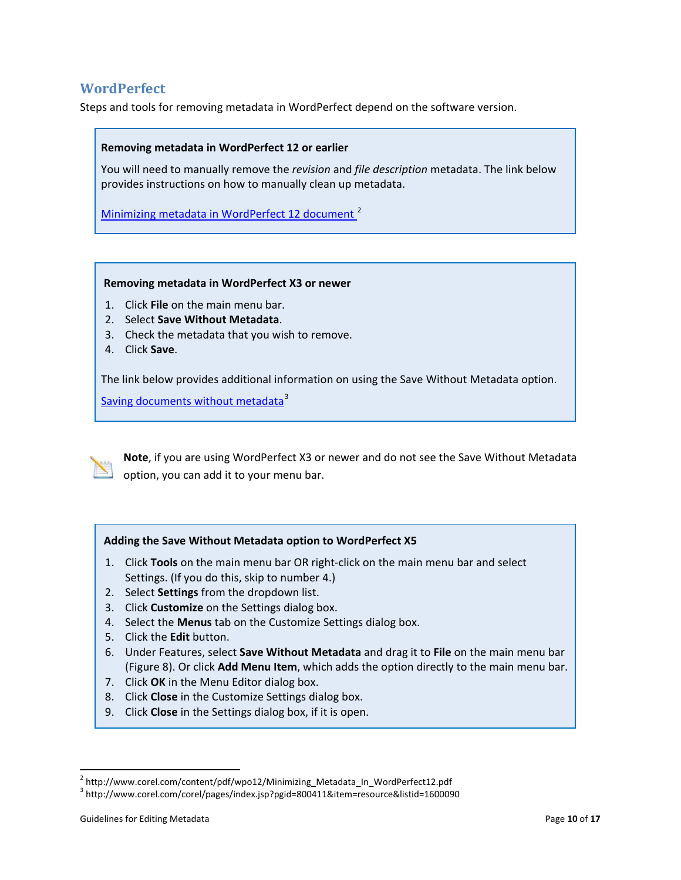## <span id="page-11-0"></span>**WordPerfect**

Steps and tools for removing metadata in WordPerfect depend on the software version.

#### **Removing metadata in WordPerfect 12 or earlier**

You will need to manually remove the *revision* and *file description* metadata. The link below provides instructions on how to manually clean up metadata.

Minimizing metadata in WordPerfect 1[2](#page-11-1) document<sup>2</sup>

#### **Removing metadata in WordPerfect X3 or newer**

- 1. Click **File** on the main menu bar.
- 2. Select **Save Without Metadata**.
- 3. Check the metadata that you wish to remove.
- 4. Click **Save**.

The link below provides additional information on using the Save Without Metadata option.

[Saving documents without metadata](http://www.corel.com/corel/pages/index.jsp?pgid=800411&item=resource&listid=1600090)<sup>[3](#page-11-2)</sup>

**Note**, if you are using WordPerfect X3 or newer and do not see the Save Without Metadata option, you can add it to your menu bar.

#### **Adding the Save Without Metadata option to WordPerfect X5**

- 1. Click **Tools** on the main menu bar OR right-click on the main menu bar and select Settings. (If you do this, skip to number 4.)
- 2. Select **Settings** from the dropdown list.
- 3. Click **Customize** on the Settings dialog box.
- 4. Select the **Menus** tab on the Customize Settings dialog box.
- 5. Click the **Edit** button.
- 6. Under Features, select **Save Without Metadata** and drag it to **File** on the main menu bar (Figure 8). Or click **Add Menu Item**, which adds the option directly to the main menu bar.
- 7. Click **OK** in the Menu Editor dialog box.
- 8. Click **Close** in the Customize Settings dialog box.
- 9. Click **Close** in the Settings dialog box, if it is open.

<span id="page-11-1"></span><sup>&</sup>lt;sup>2</sup> http://www.corel.com/content/pdf/wpo12/Minimizing\_Metadata\_In\_WordPerfect12.pdf

<span id="page-11-2"></span><sup>3</sup> http://www.corel.com/corel/pages/index.jsp?pgid=800411&item=resource&listid=1600090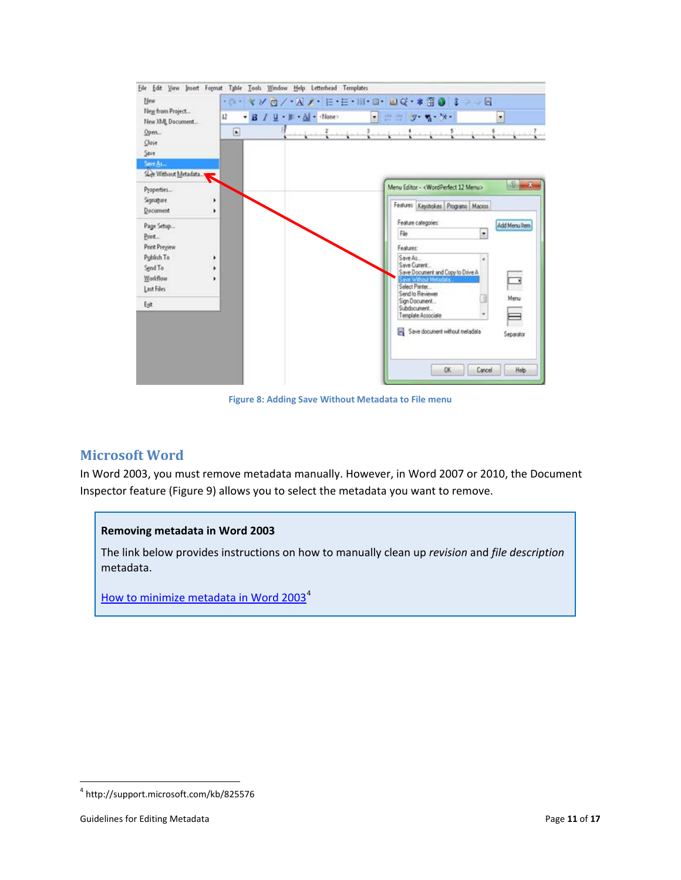

**Figure 8: Adding Save Without Metadata to File menu**

# <span id="page-12-0"></span>**Microsoft Word**

In Word 2003, you must remove metadata manually. However, in Word 2007 or 2010, the Document Inspector feature (Figure 9) allows you to select the metadata you want to remove.

#### **Removing metadata in Word 2003**

The link below provides instructions on how to manually clean up *revision* and *file description* metadata.

[How to minimize metadata in Word 2003](http://support.microsoft.com/kb/825576)[4](#page-12-1)

<span id="page-12-1"></span> <sup>4</sup> http://support.microsoft.com/kb/825576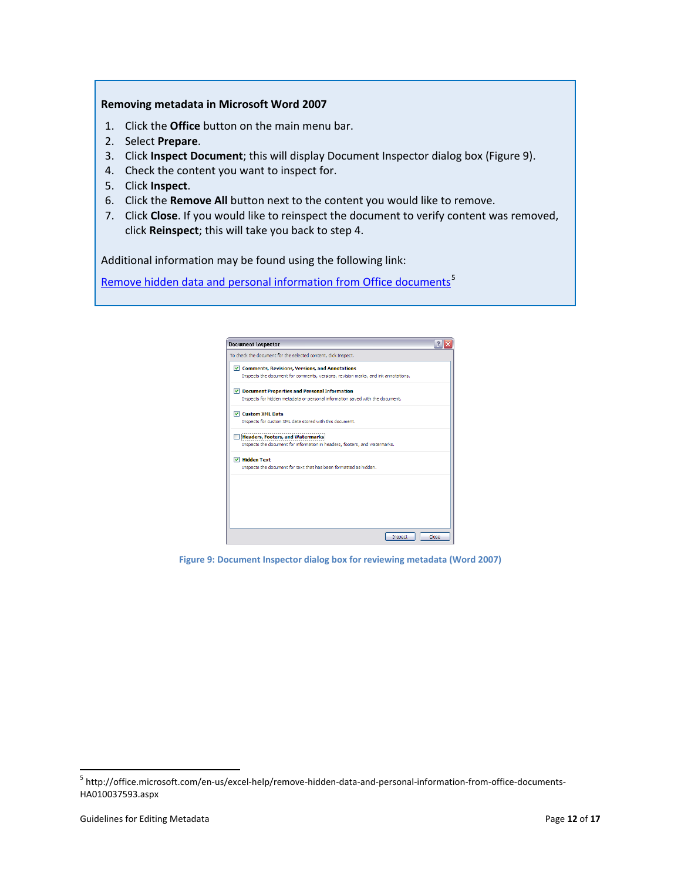#### **Removing metadata in Microsoft Word 2007**

- 1. Click the **Office** button on the main menu bar.
- 2. Select **Prepare**.
- 3. Click **Inspect Document**; this will display Document Inspector dialog box (Figure 9).
- 4. Check the content you want to inspect for.
- 5. Click **Inspect**.
- 6. Click the **Remove All** button next to the content you would like to remove.
- 7. Click **Close**. If you would like to reinspect the document to verify content was removed, click **Reinspect**; this will take you back to step 4.

Additional information may be found using the following link:

[Remove hidden data and personal information from Office documents](http://office.microsoft.com/en-us/excel-help/remove-hidden-data-and-personal-information-from-office-documents-HA010037593.aspx)<sup>[5](#page-13-0)</sup>

| <b>Document Inspector</b>                                                                                                                   |       |
|---------------------------------------------------------------------------------------------------------------------------------------------|-------|
| To check the document for the selected content, click Inspect,                                                                              |       |
| $\vee$ Comments, Revisions, Versions, and Annotations<br>Inspects the document for comments, versions, revision marks, and ink annotations. |       |
| Document Properties and Personal Information<br>Inspects for hidden metadata or personal information saved with the document.               |       |
| <b>▽ Custom XML Data</b><br>Inspects for custom XML data stored with this document.                                                         |       |
| <b>Headers, Footers, and Watermarks</b><br>Inspects the document for information in headers, footers, and watermarks.                       |       |
| <b>▽</b> Hidden Text<br>Inspects the document for text that has been formatted as hidden.                                                   |       |
|                                                                                                                                             |       |
|                                                                                                                                             |       |
|                                                                                                                                             |       |
| Inspect                                                                                                                                     | Close |

**Figure 9: Document Inspector dialog box for reviewing metadata (Word 2007)**

<span id="page-13-0"></span> <sup>5</sup> http://office.microsoft.com/en-us/excel-help/remove-hidden-data-and-personal-information-from-office-documents-HA010037593.aspx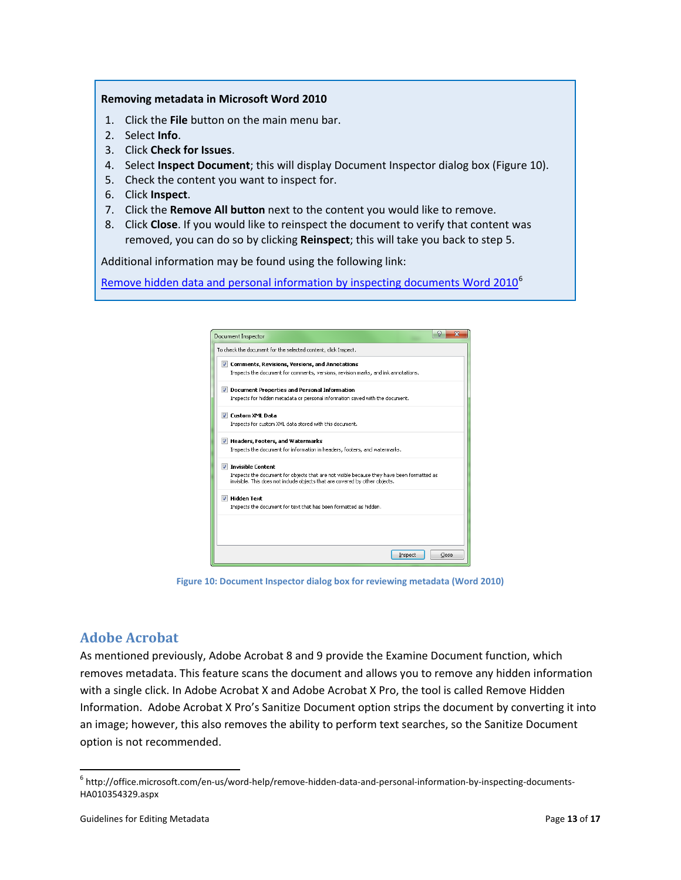#### **Removing metadata in Microsoft Word 2010**

- 1. Click the **File** button on the main menu bar.
- 2. Select **Info**.
- 3. Click **Check for Issues**.
- 4. Select **Inspect Document**; this will display Document Inspector dialog box (Figure 10).
- 5. Check the content you want to inspect for.
- 6. Click **Inspect**.
- 7. Click the **Remove All button** next to the content you would like to remove.
- 8. Click **Close**. If you would like to reinspect the document to verify that content was removed, you can do so by clicking **Reinspect**; this will take you back to step 5.

Additional information may be found using the following link:

[Remove hidden data and personal information by inspecting documents Word 2010](http://office.microsoft.com/en-us/word-help/remove-hidden-data-and-personal-information-by-inspecting-documents-HA010354329.aspx)<sup>[6](#page-14-1)</sup>

| Document Inspector                                                                                                                                                        |
|---------------------------------------------------------------------------------------------------------------------------------------------------------------------------|
| To check the document for the selected content, click Inspect,                                                                                                            |
| <b>V</b> Comments, Revisions, Versions, and Annotations                                                                                                                   |
| Inspects the document for comments, versions, revision marks, and ink annotations.                                                                                        |
| Document Properties and Personal Information                                                                                                                              |
| Inspects for hidden metadata or personal information saved with the document.                                                                                             |
| <b>V</b> Custom XML Data                                                                                                                                                  |
| Inspects for custom XML data stored with this document.                                                                                                                   |
| V Headers, Footers, and Watermarks                                                                                                                                        |
| Inspects the document for information in headers, footers, and watermarks.                                                                                                |
| <b>V</b> Invisible Content                                                                                                                                                |
| Inspects the document for objects that are not visible because they have been formatted as<br>invisible. This does not include objects that are covered by other objects. |
| <b>V</b> Hidden Text                                                                                                                                                      |
| Inspects the document for text that has been formatted as hidden.                                                                                                         |
|                                                                                                                                                                           |
|                                                                                                                                                                           |
| Inspect<br>Close                                                                                                                                                          |

**Figure 10: Document Inspector dialog box for reviewing metadata (Word 2010)**

#### <span id="page-14-0"></span>**Adobe Acrobat**

As mentioned previously, Adobe Acrobat 8 and 9 provide the Examine Document function, which removes metadata. This feature scans the document and allows you to remove any hidden information with a single click. In Adobe Acrobat X and Adobe Acrobat X Pro, the tool is called Remove Hidden Information. Adobe Acrobat X Pro's Sanitize Document option strips the document by converting it into an image; however, this also removes the ability to perform text searches, so the Sanitize Document option is not recommended.

<span id="page-14-1"></span> <sup>6</sup> http://office.microsoft.com/en-us/word-help/remove-hidden-data-and-personal-information-by-inspecting-documents-HA010354329.aspx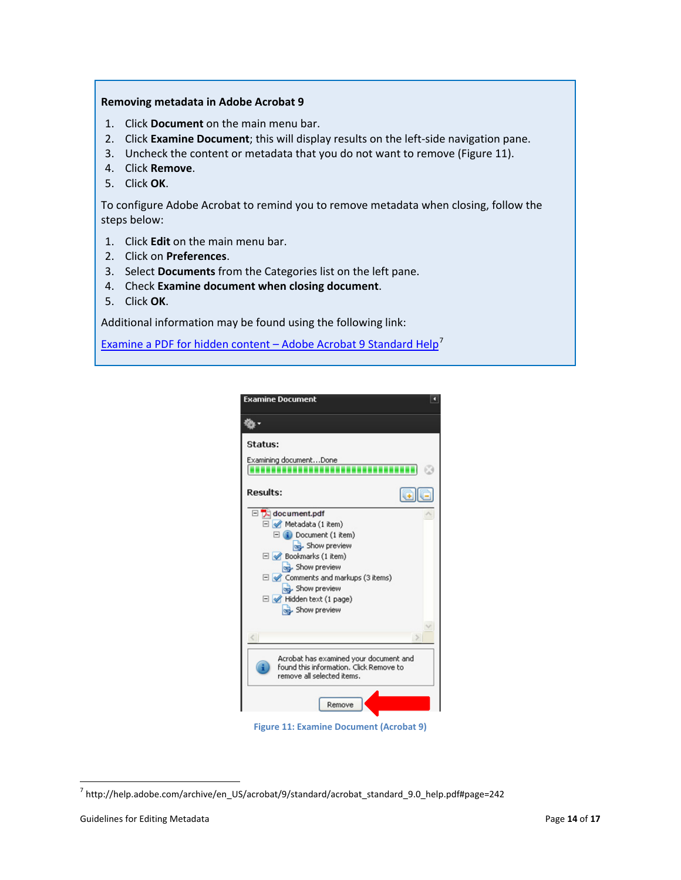#### **Removing metadata in Adobe Acrobat 9**

- 1. Click **Document** on the main menu bar.
- 2. Click **Examine Document**; this will display results on the left-side navigation pane.
- 3. Uncheck the content or metadata that you do not want to remove (Figure 11).
- 4. Click **Remove**.
- 5. Click **OK**.

To configure Adobe Acrobat to remind you to remove metadata when closing, follow the steps below:

- 1. Click **Edit** on the main menu bar.
- 2. Click on **Preferences**.
- 3. Select **Documents** from the Categories list on the left pane.
- 4. Check **Examine document when closing document**.
- 5. Click **OK**.

Additional information may be found using the following link:

Examine a PDF for hidden content - Adobe Acrobat 9 Standard Help<sup>[7](#page-15-0)</sup>



**Figure 11: Examine Document (Acrobat 9)**

<span id="page-15-0"></span> <sup>7</sup> http://help.adobe.com/archive/en\_US/acrobat/9/standard/acrobat\_standard\_9.0\_help.pdf#page=242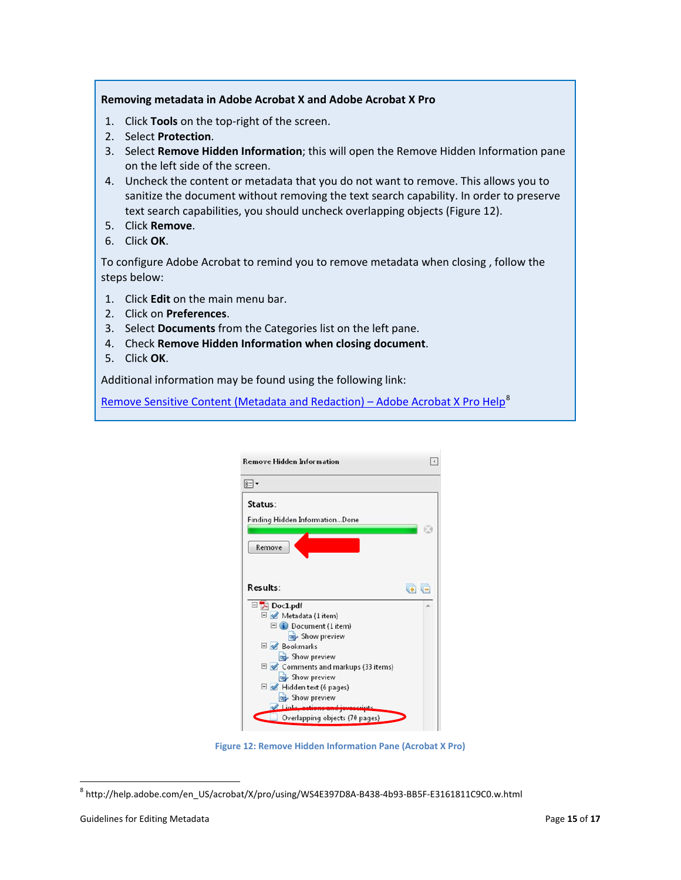#### **Removing metadata in Adobe Acrobat X and Adobe Acrobat X Pro**

- 1. Click **Tools** on the top-right of the screen.
- 2. Select **Protection**.
- 3. Select **Remove Hidden Information**; this will open the Remove Hidden Information pane on the left side of the screen.
- 4. Uncheck the content or metadata that you do not want to remove. This allows you to sanitize the document without removing the text search capability. In order to preserve text search capabilities, you should uncheck overlapping objects (Figure 12).
- 5. Click **Remove**.
- 6. Click **OK**.

To configure Adobe Acrobat to remind you to remove metadata when closing , follow the steps below:

- 1. Click **Edit** on the main menu bar.
- 2. Click on **Preferences**.
- 3. Select **Documents** from the Categories list on the left pane.
- 4. Check **Remove Hidden Information when closing document**.
- 5. Click **OK**.

Additional information may be found using the following link:

[Remove Sensitive Content \(Metadata and Redaction\) –](http://help.adobe.com/en_US/acrobat/X/pro/using/WS4E397D8A-B438-4b93-BB5F-E3161811C9C0.w.html) Adobe Acrobat X Pro Help<sup>[8](#page-16-0)</sup>



**Figure 12: Remove Hidden Information Pane (Acrobat X Pro)**

<span id="page-16-0"></span> <sup>8</sup> http://help.adobe.com/en\_US/acrobat/X/pro/using/WS4E397D8A-B438-4b93-BB5F-E3161811C9C0.w.html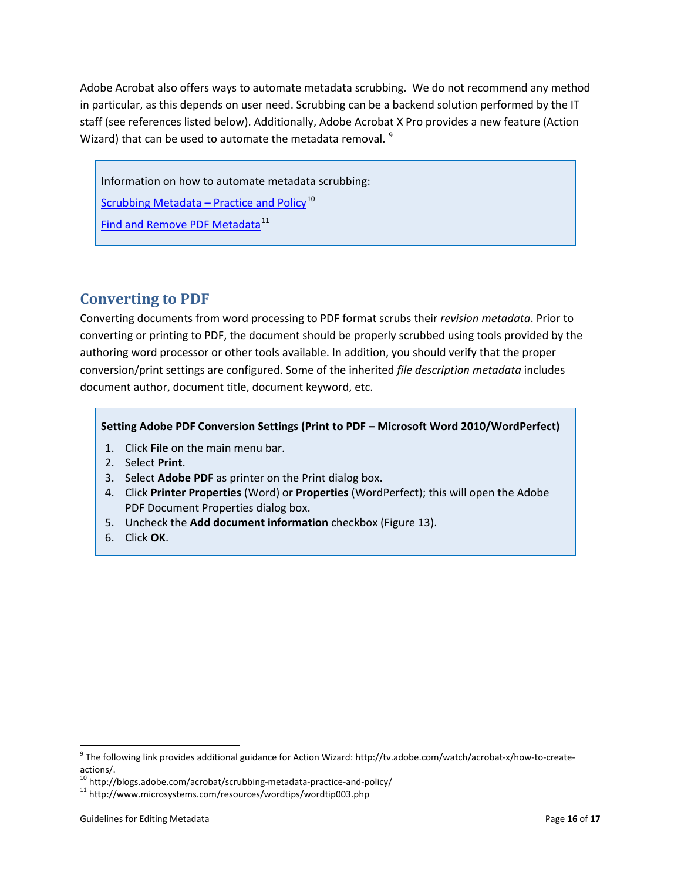Adobe Acrobat also offers ways to automate metadata scrubbing. We do not recommend any method in particular, as this depends on user need. Scrubbing can be a backend solution performed by the IT staff (see references listed below). Additionally, Adobe Acrobat X Pro provides a new feature (Action Wizard) that can be used to automate the metadata removal. <sup>[9](#page-17-1)</sup>

Information on how to automate metadata scrubbing: [Scrubbing Metadata –](http://blogs.adobe.com/acrobat/scrubbing-metadata-practice-and-policy/) Practice and Policy<sup>[10](#page-17-2)</sup>

[Find and Remove PDF Metadata](http://www.microsystems.com/resources/wordtips/wordtip003.php)<sup>[11](#page-17-3)</sup>

# <span id="page-17-0"></span>**Converting to PDF**

Converting documents from word processing to PDF format scrubs their *revision metadata*. Prior to converting or printing to PDF, the document should be properly scrubbed using tools provided by the authoring word processor or other tools available. In addition, you should verify that the proper conversion/print settings are configured. Some of the inherited *file description metadata* includes document author, document title, document keyword, etc.

#### **Setting Adobe PDF Conversion Settings (Print to PDF – Microsoft Word 2010/WordPerfect)**

- 1. Click **File** on the main menu bar.
- 2. Select **Print**.
- 3. Select **Adobe PDF** as printer on the Print dialog box.
- 4. Click **Printer Properties** (Word) or **Properties** (WordPerfect); this will open the Adobe PDF Document Properties dialog box.
- 5. Uncheck the **Add document information** checkbox (Figure 13).
- 6. Click **OK**.

<span id="page-17-1"></span> <sup>9</sup> The following link provides additional guidance for Action Wizard: http://tv.adobe.com/watch/acrobat-x/how-to-create-

actions/.<br><sup>10</sup> http://blogs.adobe.com/acrobat/scrubbing-metadata-practice-and-policy/

<span id="page-17-3"></span><span id="page-17-2"></span> $11$  http://www.microsystems.com/resources/wordtips/wordtip003.php